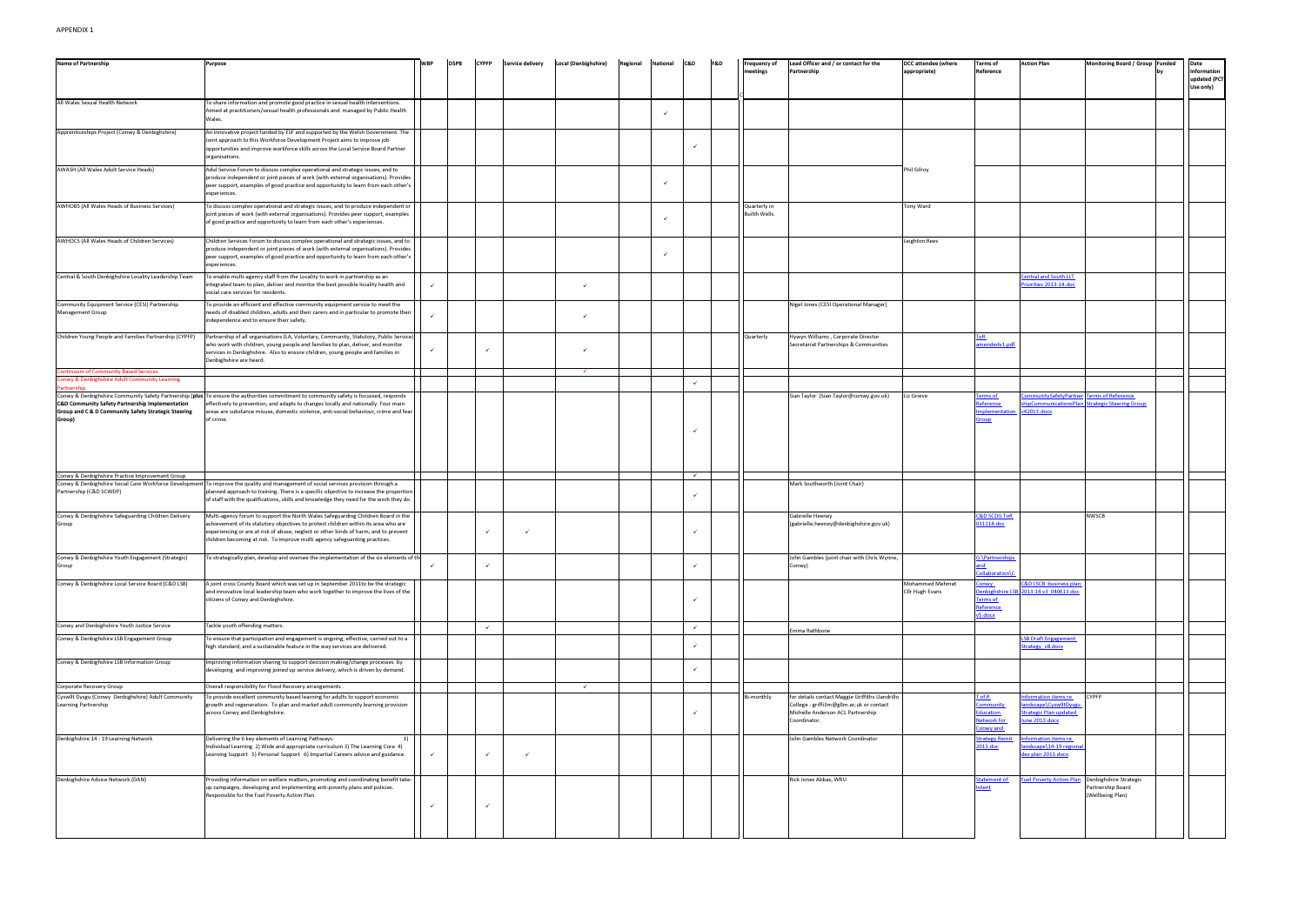| <b>Name of Partnership</b>                                                                                       |                                                                                                                                                                                                                                                                                                                                               | WBF          | <b>DSPB</b> | <b>CYPFP</b> | <b>Service delivery</b> | <b>Local (Denbighshire)</b> | Regional | National | C&D          | <b>F&amp;D</b> | Frequency of                         | Lead Officer and / or contact for the                                                         | <b>DCC attendee (where</b>         | <b>Terms of</b>                                                  | <b>Action Plan</b>                                                  | <b>Monitoring Board / Group</b>                                    | Funded | Date                                     |
|------------------------------------------------------------------------------------------------------------------|-----------------------------------------------------------------------------------------------------------------------------------------------------------------------------------------------------------------------------------------------------------------------------------------------------------------------------------------------|--------------|-------------|--------------|-------------------------|-----------------------------|----------|----------|--------------|----------------|--------------------------------------|-----------------------------------------------------------------------------------------------|------------------------------------|------------------------------------------------------------------|---------------------------------------------------------------------|--------------------------------------------------------------------|--------|------------------------------------------|
|                                                                                                                  | <b>Purpose</b>                                                                                                                                                                                                                                                                                                                                |              |             |              |                         |                             |          |          |              |                | neetings                             | Partnership                                                                                   | appropriate)                       | Reference                                                        |                                                                     |                                                                    |        | Information<br>updated (PCT<br>Use only) |
| All Wales Sexual Health Network                                                                                  | To share information and promote good practice in sexual health interventions.<br>Aimed at practitioners/sexual health professionals and managed by Public Health<br>Wales.                                                                                                                                                                   |              |             |              |                         |                             |          |          |              |                |                                      |                                                                                               |                                    |                                                                  |                                                                     |                                                                    |        |                                          |
| Apprenticeships Project (Conwy & Denbighshire)                                                                   | An innovative project funded by ESF and supported by the Welsh Government. The<br>Joint approach to this Workforce Development Project aims to improve job<br>opportunities and improve workforce skills across the Local Service Board Partner<br>organisations.                                                                             |              |             |              |                         |                             |          |          |              |                |                                      |                                                                                               |                                    |                                                                  |                                                                     |                                                                    |        |                                          |
| AWASH (All Wales Adult Service Heads)                                                                            | Adul Service Forum to discuss complex operational and strategic issues, and to<br>produce independent or joint pieces of work (with external organisations). Provides<br>peer support, examples of good practice and opportunity to learn from each other's<br>experiences.                                                                   |              |             |              |                         |                             |          |          |              |                |                                      |                                                                                               | hil Gilroy                         |                                                                  |                                                                     |                                                                    |        |                                          |
| AWHOBS (All Wales Heads of Business Services)                                                                    | To discuss complex operational and strategic issues, and to produce independent or<br>joint pieces of work (with external organisations). Provides peer support, examples<br>of good practice and opportunity to learn from each other's experiences.                                                                                         |              |             |              |                         |                             |          |          |              |                | Quarterly in<br><b>Builth Wells.</b> |                                                                                               | Tony Ward                          |                                                                  |                                                                     |                                                                    |        |                                          |
| AWHOCS (All Wales Heads of Children Services)                                                                    | Children Services Forum to discuss complex operational and strategic issues, and to<br>produce independent or joint pieces of work (with external organisations). Provides<br>peer support, examples of good practice and opportunity to learn from each other's<br>experiences.                                                              |              |             |              |                         |                             |          |          |              |                |                                      |                                                                                               | Leighton Rees                      |                                                                  |                                                                     |                                                                    |        |                                          |
| Central & South Denbighshire Locality Leadership Team                                                            | To enable multi-agency staff from the Locality to work in partnership as an<br>integrated team to plan, deliver and monitor the best possible locality health and<br>social care services for residents.                                                                                                                                      | $\checkmark$ |             |              |                         | ✓                           |          |          |              |                |                                      |                                                                                               |                                    |                                                                  | <u><b>Central and South LLT</b></u><br>riorities 2013-14.doc        |                                                                    |        |                                          |
| Community Equipment Service (CESI) Partnership<br><b>Management Group</b>                                        | To provide an efficient and effective community equipment service to meet the<br>needs of disabled children, adults and their carers and in particular to promote their<br>independence and to ensure their safety.                                                                                                                           | $\checkmark$ |             |              |                         | $\checkmark$                |          |          |              |                |                                      | Nigel Jones (CESI Operational Manager)                                                        |                                    |                                                                  |                                                                     |                                                                    |        |                                          |
| Children Young People and Families Partnership (CYPFP)                                                           | Partnership of all organisations (LA, Voluntary, Community, Statutory, Public Service)<br>who work with children, young people and families to plan, deliver, and monitor<br>services in Denbighshire. Also to ensure children, young people and families in<br>Denbighshire are heard.                                                       |              |             | $\checkmark$ |                         | $\checkmark$                |          |          |              |                | Quarterly                            | Hywyn Williams , Corporate Director<br>Secretariat Partnerships & Communities                 |                                    | nendedv1.pdf                                                     |                                                                     |                                                                    |        |                                          |
| ntinuum of Community Based Services                                                                              |                                                                                                                                                                                                                                                                                                                                               |              |             |              |                         |                             |          |          |              |                |                                      |                                                                                               |                                    |                                                                  |                                                                     |                                                                    |        |                                          |
| onwy & Denbighshire Adult Community Learning<br>Partnership                                                      |                                                                                                                                                                                                                                                                                                                                               |              |             |              |                         |                             |          |          | $\checkmark$ |                |                                      |                                                                                               |                                    |                                                                  |                                                                     |                                                                    |        |                                          |
| C&D Community Safety Partnership Implementation<br>Group and C & D Community Safety Strategic Steering<br>Group) | Conwy & Denbighshire Community Safety Partnership (plus To ensure the authorities commitment to community safety is focussed, responds<br>effectively to prevention, and adapts to changes locally and nationally. Four main<br>areas are substance misuse, domestic violence, anti-social behaviour, crime and fear<br>of crime.             |              |             |              |                         |                             |          |          |              |                |                                      | Sian Taylor (Sian.Taylor@conwy.gov.uk)                                                        | Liz Grieve                         | <u>erms of </u><br><u>eference</u><br>nplementation<br>roup      | mmunitySafetyPartn<br>v42013.docx                                   | erms of Reference<br>ipCommunicationsPlan Strategic Steering Group |        |                                          |
|                                                                                                                  |                                                                                                                                                                                                                                                                                                                                               |              |             |              |                         |                             |          |          |              |                |                                      |                                                                                               |                                    |                                                                  |                                                                     |                                                                    |        |                                          |
| Conwy & Denbighshire Practice Improvement Group                                                                  |                                                                                                                                                                                                                                                                                                                                               |              |             |              |                         |                             |          |          | $\checkmark$ |                |                                      |                                                                                               |                                    |                                                                  |                                                                     |                                                                    |        |                                          |
| Partnership (C&D SCWDP)                                                                                          | Conwy & Denbighshire Social Care Workforce Development To improve the quality and management of social services provision through a<br>planned approach to training. There is a specific objective to increase the proportion<br>of staff with the qualifications, skills and knowledge they need for the work they do.                       |              |             |              |                         |                             |          |          |              |                |                                      | Mark Southworth (Joint Chair)                                                                 |                                    |                                                                  |                                                                     |                                                                    |        |                                          |
| Conwy & Denbighshire Safeguarding Children Delivery<br>Group                                                     | Multi-agency forum to support the North Wales Safeguarding Children Board in the<br>achievement of its statutory objectives to protect children within its area who are<br>experiencing or are at risk of abuse, neglect or other kinds of harm, and to prevent<br>children becoming at risk. To improve multi agency safeguarding practices. |              |             | $\checkmark$ |                         |                             |          |          |              |                |                                      | Gabrielle Heeney<br>(gabrielle.heeney@denbighshire.gov.uk)                                    |                                    | <b>&amp;D SCDG ToR</b><br>031114.doc                             |                                                                     | <b>NWSCB</b>                                                       |        |                                          |
| Conwy & Denbighshire Youth Engagement (Strategic)<br>Group                                                       | To strategically plan, develop and oversee the implementation of the six elements of th                                                                                                                                                                                                                                                       | $\checkmark$ |             | $\checkmark$ |                         |                             |          |          |              |                |                                      | John Gambles (joint chair with Chris Wynne,<br>Conwy)                                         |                                    | <b>G:\Partnerships</b><br>ollaboration\                          |                                                                     |                                                                    |        |                                          |
| Conwy & Denbighshire Local Service Board (C&D LSB)                                                               | A joint cross County Board which was set up in September 2011to be the strategic<br>and innovative local leadership team who work together to improve the lives of the<br>citizens of Conwy and Denbighshire.                                                                                                                                 |              |             |              |                         |                             |          |          |              |                |                                      |                                                                                               | Mohammed Mehmet<br>Cllr Hugh Evans | <b>DIWY</b><br>enbighshire LS<br>Terms of<br>eference<br>v5.docx | <b>C&amp;D LSCB</b> business plan<br>B 2013-14 v3 040613.doc        |                                                                    |        |                                          |
| Conwy and Denbighshire Youth Justice Service                                                                     | Tackle youth offending matters.                                                                                                                                                                                                                                                                                                               |              |             | $\checkmark$ |                         |                             |          |          | $\checkmark$ |                |                                      | mma Rathbone                                                                                  |                                    |                                                                  |                                                                     |                                                                    |        |                                          |
| Conwy & Denbighshire LSB Engagement Group                                                                        | To ensure that participation and engagement is ongoing, effective, carried out to a<br>high standard, and a sustainable feature in the way services are delivered.                                                                                                                                                                            |              |             |              |                         |                             |          |          |              |                |                                      |                                                                                               |                                    |                                                                  | <b>LSB Draft Engagement</b><br>Strategy_v8.docx                     |                                                                    |        |                                          |
| Conwy & Denbighshire LSB Information Group<br>Corporate Recovery Group                                           | Improving information sharing to support decision making/change processes by<br>developing and improving joined up service delivery, which is driven by demand.<br>Overall responsibility for Flood Recovery arrangements.                                                                                                                    |              |             |              |                         | $\checkmark$                |          |          | ✓            |                |                                      |                                                                                               |                                    |                                                                  |                                                                     |                                                                    |        |                                          |
| Cyswllt Dysgu (Conwy Denbighshire) Adult Community                                                               | To provide excellent community based learning for adults to support economic                                                                                                                                                                                                                                                                  |              |             |              |                         |                             |          |          |              |                | Bi-monthly                           | for details contact Maggie Griffiths Llandrillo                                               |                                    | <u> F of R</u>                                                   | formation items re                                                  | <b>CYPFP</b>                                                       |        |                                          |
| Learning Partnership                                                                                             | growth and regeneration. To plan and market adult community learning provision<br>across Conwy and Denbighshire.                                                                                                                                                                                                                              |              |             |              |                         |                             |          |          |              |                |                                      | College - griffi3m@gllm.ac.uk or contact<br>Michelle Anderson ACL Partnership<br>Coordinator. |                                    | ommunity<br>ducation<br>Network for<br>onwy and                  | andscape\CyswlltDysgu<br>Strategic Plan updated<br>lune 2013.docx   |                                                                    |        |                                          |
| Denbighshire 14 - 19 Learning Network                                                                            | Delivering the 6 key elements of Learning Pathways:<br>Individual Learning 2) Wide and appropriate curriculum 3) The Learning Core 4)<br>Learning Support 5) Personal Support 6) Impartial Careers advice and guidance.                                                                                                                       |              |             | $\checkmark$ | $\checkmark$            |                             |          |          |              |                |                                      | John Gambles Network Coordinator                                                              |                                    | trategy Remit<br>2013.doc                                        | formation items re<br>andscape\14-19 regional<br>dev plan 2013.docx |                                                                    |        |                                          |
| Denbighshire Advice Network (DAN)                                                                                | Providing information on welfare matters, promoting and coordinating benefit take-<br>up campaigns, developing and implementing anti-poverty plans and policies.<br>Responsible for the Fuel Poverty Action Plan.                                                                                                                             | $\checkmark$ |             | $\checkmark$ |                         |                             |          |          |              |                |                                      | Rick Jones Abbas, WRU                                                                         |                                    | <b>Statement of</b>                                              | <b>Fuel Poverty Action Plan</b>                                     | Denbighshire Strategic<br>Partnership Board<br>(Wellbeing Plan)    |        |                                          |
|                                                                                                                  |                                                                                                                                                                                                                                                                                                                                               |              |             |              |                         |                             |          |          |              |                |                                      |                                                                                               |                                    |                                                                  |                                                                     |                                                                    |        |                                          |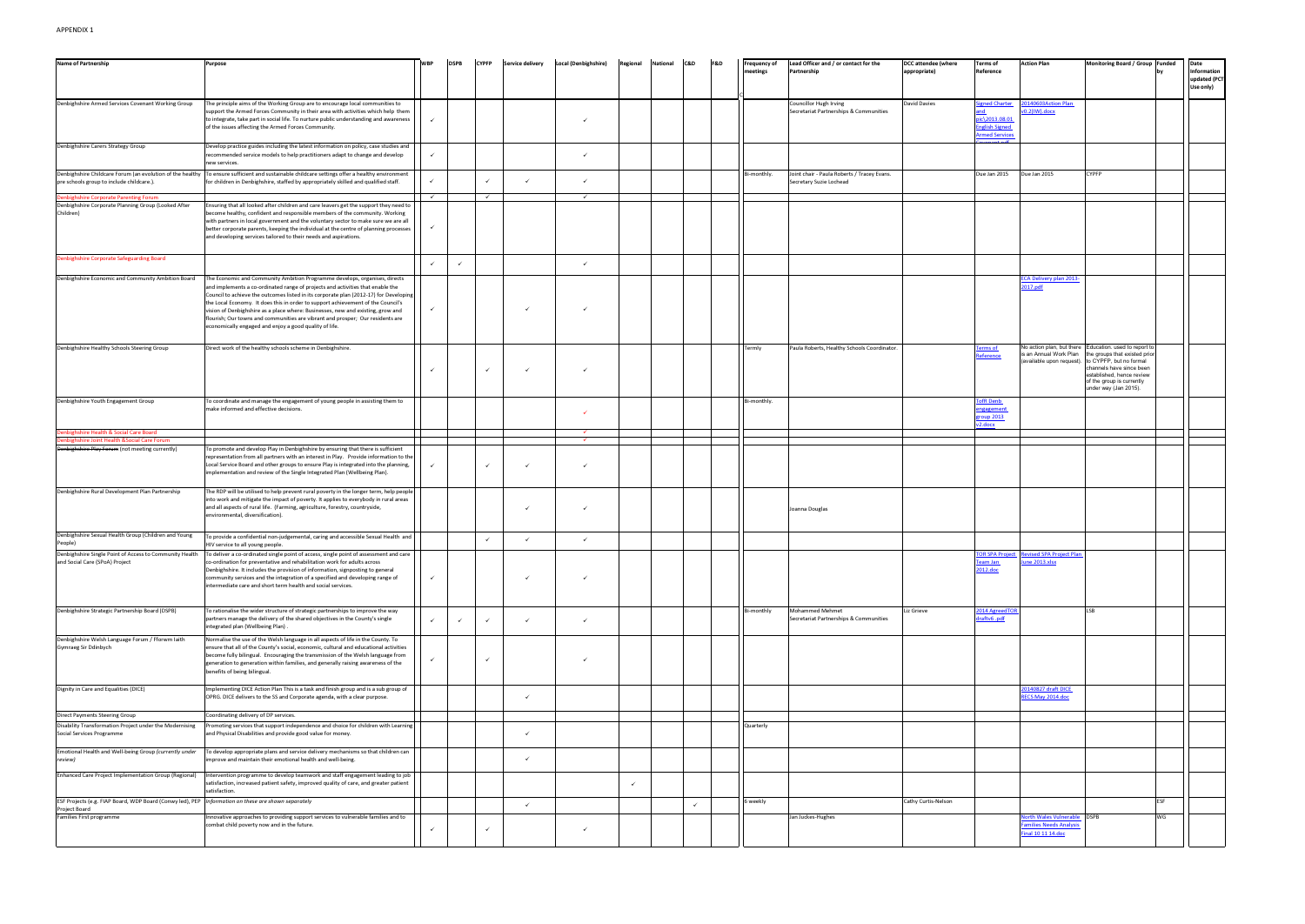| <b>Name of Partnership</b>                                                                             | Purpose                                                                                                                                                                                                                                                                                                                                                                                                                                                                                                                                                                  |              | <b>DSPB</b> | <b>CYPFP</b> | <b>Service delivery</b> | <b>Local (Denbighshire)</b> | Regional | National | C&D          | F&D | Frequency of | Lead Officer and / or contact for the                                  | <b>DCC attendee (where</b> | <b>Terms of</b>                                                                    | <b>Action Plan</b>                                                        | <b>Monitoring Board / Group</b>                                                                                                                                                                                                                             | <b>Funded</b> | Date                                     |
|--------------------------------------------------------------------------------------------------------|--------------------------------------------------------------------------------------------------------------------------------------------------------------------------------------------------------------------------------------------------------------------------------------------------------------------------------------------------------------------------------------------------------------------------------------------------------------------------------------------------------------------------------------------------------------------------|--------------|-------------|--------------|-------------------------|-----------------------------|----------|----------|--------------|-----|--------------|------------------------------------------------------------------------|----------------------------|------------------------------------------------------------------------------------|---------------------------------------------------------------------------|-------------------------------------------------------------------------------------------------------------------------------------------------------------------------------------------------------------------------------------------------------------|---------------|------------------------------------------|
|                                                                                                        |                                                                                                                                                                                                                                                                                                                                                                                                                                                                                                                                                                          |              |             |              |                         |                             |          |          |              |     | neetings     | Partnership                                                            | appropriate)               | Reference                                                                          |                                                                           |                                                                                                                                                                                                                                                             |               | Information<br>updated (PCT<br>Use only) |
| Denbighshire Armed Services Covenant Working Group                                                     | The principle aims of the Working Group are to encourage local communities to<br>support the Armed Forces Community in their area with activities which help them<br>to integrate, take part in social life. To nurture public understanding and awareness<br>of the issues affecting the Armed Forces Community.                                                                                                                                                                                                                                                        | $\checkmark$ |             |              |                         | ✓                           |          |          |              |     |              | Councillor Hugh Irving<br>Secretariat Partnerships & Communities       | David Davies               | Signed Charter<br>pic\2013.08.01<br><b>English Signed</b><br><b>Irmed Services</b> | 0140603Action Plan<br>$0.2$ (IW).docx                                     |                                                                                                                                                                                                                                                             |               |                                          |
| Denbighshire Carers Strategy Group                                                                     | Develop practice guides including the latest information on policy, case studies and<br>recommended service models to help practitioners adapt to change and develop<br>new services.                                                                                                                                                                                                                                                                                                                                                                                    | $\checkmark$ |             |              |                         | $\checkmark$                |          |          |              |     |              |                                                                        |                            |                                                                                    |                                                                           |                                                                                                                                                                                                                                                             |               |                                          |
| Denbighshire Childcare Forum (an evolution of the healthy<br>pre schools group to include childcare.). | To ensure sufficient and sustainable childcare settings offer a healthy environment<br>for children in Denbighshire, staffed by appropriately skilled and qualified staff.                                                                                                                                                                                                                                                                                                                                                                                               | $\checkmark$ |             | $\checkmark$ | $\checkmark$            | ✓                           |          |          |              |     | Bi-monthly.  | Joint chair - Paula Roberts / Tracey Evans.<br>Secretary Suzie Lochead |                            | Due Jan 2015                                                                       | Due Jan 2015                                                              | CYPFP                                                                                                                                                                                                                                                       |               |                                          |
| Denbighshire Corporate Parenting Forum                                                                 |                                                                                                                                                                                                                                                                                                                                                                                                                                                                                                                                                                          | $\checkmark$ |             | $\checkmark$ |                         | $\checkmark$                |          |          |              |     |              |                                                                        |                            |                                                                                    |                                                                           |                                                                                                                                                                                                                                                             |               |                                          |
| Denbighshire Corporate Planning Group (Looked After<br>Children)                                       | Ensuring that all looked after children and care leavers get the support they need to<br>become healthy, confident and responsible members of the community. Working<br>with partners in local government and the voluntary sector to make sure we are all<br>better corporate parents, keeping the individual at the centre of planning processes<br>and developing services tailored to their needs and aspirations.                                                                                                                                                   | $\checkmark$ |             |              |                         |                             |          |          |              |     |              |                                                                        |                            |                                                                                    |                                                                           |                                                                                                                                                                                                                                                             |               |                                          |
| Denbighshire Corporate Safeguarding Board                                                              |                                                                                                                                                                                                                                                                                                                                                                                                                                                                                                                                                                          | ✓            |             |              |                         | $\checkmark$                |          |          |              |     |              |                                                                        |                            |                                                                                    |                                                                           |                                                                                                                                                                                                                                                             |               |                                          |
| Denbighshire Economic and Community Ambition Board                                                     | The Economic and Community Ambition Programme develops, organises, directs<br>and implements a co-ordinated range of projects and activities that enable the<br>Council to achieve the outcomes listed in its corporate plan (2012-17) for Developing<br>the Local Economy. It does this in order to support achievement of the Council's<br>vision of Denbighshire as a place where: Businesses, new and existing, grow and<br>flourish; Our towns and communities are vibrant and prosper; Our residents are<br>economically engaged and enjoy a good quality of life. | ✓            |             |              |                         | ✓                           |          |          |              |     |              |                                                                        |                            |                                                                                    | CA Delivery plan 2013-<br>2017.pdf                                        |                                                                                                                                                                                                                                                             |               |                                          |
| Denbighshire Healthy Schools Steering Group                                                            | Direct work of the healthy schools scheme in Denbighshire.                                                                                                                                                                                                                                                                                                                                                                                                                                                                                                               |              |             | $\checkmark$ | $\checkmark$            | $\checkmark$                |          |          |              |     | Termly       | Paula Roberts, Healthy Schools Coordinator.                            |                            | <u>erms of </u><br><b>eference</b>                                                 | is an Annual Work Plan                                                    | No action plan, but there Education. used to report to<br>the groups that existed prior<br>(available upon request). to CYPFP, but no formal<br>channels have since been<br>established, hence review<br>of the group is currently<br>under way (Jan 2015). |               |                                          |
| Denbighshire Youth Engagement Group                                                                    | To coordinate and manage the engagement of young people in assisting them to<br>make informed and effective decisions.                                                                                                                                                                                                                                                                                                                                                                                                                                                   |              |             |              |                         | ✓                           |          |          |              |     | Bi-monthly.  |                                                                        |                            | <b>FofR Denb</b><br><u>engagement</u><br>group 2013<br>2.docx                      |                                                                           |                                                                                                                                                                                                                                                             |               |                                          |
| bighshire Health & Social Care Board                                                                   |                                                                                                                                                                                                                                                                                                                                                                                                                                                                                                                                                                          |              |             |              |                         | $\checkmark$                |          |          |              |     |              |                                                                        |                            |                                                                                    |                                                                           |                                                                                                                                                                                                                                                             |               |                                          |
| hbighshire Joint Health & Social Care Forum                                                            |                                                                                                                                                                                                                                                                                                                                                                                                                                                                                                                                                                          |              |             |              |                         | $\checkmark$                |          |          |              |     |              |                                                                        |                            |                                                                                    |                                                                           |                                                                                                                                                                                                                                                             |               |                                          |
| Denbighshire Play Forum (not meeting currently)                                                        | To promote and develop Play in Denbighshire by ensuring that there is sufficient<br>representation from all partners with an interest in Play. Provide information to the<br>Local Service Board and other groups to ensure Play is integrated into the planning,<br>implementation and review of the Single Integrated Plan (Wellbeing Plan).                                                                                                                                                                                                                           | $\checkmark$ |             | $\checkmark$ |                         |                             |          |          |              |     |              |                                                                        |                            |                                                                                    |                                                                           |                                                                                                                                                                                                                                                             |               |                                          |
| Denbighshire Rural Development Plan Partnership                                                        | The RDP will be utilised to help prevent rural poverty in the longer term, help people<br>into work and mitigate the impact of poverty. It applies to everybody in rural areas<br>and all aspects of rural life. (Farming, agriculture, forestry, countryside,<br>environmental, diversification).                                                                                                                                                                                                                                                                       |              |             |              | $\checkmark$            |                             |          |          |              |     |              | Joanna Douglas                                                         |                            |                                                                                    |                                                                           |                                                                                                                                                                                                                                                             |               |                                          |
| Denbighshire Sexual Health Group (Children and Young<br>People)                                        | To provide a confidential non-judgemental, caring and accessible Sexual Health and<br>HIV service to all young people.                                                                                                                                                                                                                                                                                                                                                                                                                                                   |              |             | $\checkmark$ | $\checkmark$            | $\checkmark$                |          |          |              |     |              |                                                                        |                            |                                                                                    |                                                                           |                                                                                                                                                                                                                                                             |               |                                          |
| Denbighshire Single Point of Access to Community Health<br>and Social Care (SPoA) Project              | To deliver a co-ordinated single point of access, single point of assessment and care<br>co-ordination for preventative and rehabilitation work for adults across<br>Denbighshire. It includes the provision of information, signposting to general<br>community services and the integration of a specified and developing range of<br>intermediate care and short term health and social services.                                                                                                                                                                     | $\checkmark$ |             |              | $\checkmark$            | ✓                           |          |          |              |     |              |                                                                        |                            | <b>OR SPA Proje</b><br><u>Feam Jan</u><br>2012.doc                                 | evised SPA Project Plan<br><u>une 2013.xlsx</u>                           |                                                                                                                                                                                                                                                             |               |                                          |
| Denbighshire Strategic Partnership Board (DSPB)                                                        | To rationalise the wider structure of strategic partnerships to improve the way<br>partners manage the delivery of the shared objectives in the County's single<br>integrated plan (Wellbeing Plan) .                                                                                                                                                                                                                                                                                                                                                                    | $\checkmark$ |             | $\checkmark$ | $\checkmark$            | ✓                           |          |          |              |     | Bi-monthly   | Mohammed Mehmet<br>Secretariat Partnerships & Communities              | Liz Grieve                 | 014 AgreedTO<br>hdraftv6.pdf                                                       |                                                                           | LSB                                                                                                                                                                                                                                                         |               |                                          |
| Denbighshire Welsh Language Forum / Fforwm laith<br>Gymraeg Sir Ddinbych                               | Normalise the use of the Welsh language in all aspects of life in the County. To<br>ensure that all of the County's social, economic, cultural and educational activities<br>become fully bilingual. Encouraging the transmission of the Welsh language from<br>generation to generation within families, and generally raising awareness of the<br>benefits of being bilingual.                                                                                                                                                                                         |              |             | $\checkmark$ |                         | ✓                           |          |          |              |     |              |                                                                        |                            |                                                                                    |                                                                           |                                                                                                                                                                                                                                                             |               |                                          |
| Dignity in Care and Equalities (DICE)                                                                  | Implementing DICE Action Plan This is a task and finish group and is a sub group of<br>OPRG. DICE delivers to the SS and Corporate agenda, with a clear purpose.                                                                                                                                                                                                                                                                                                                                                                                                         |              |             |              | $\checkmark$            |                             |          |          |              |     |              |                                                                        |                            |                                                                                    | 0140827 draft DICE<br><b>ECS May 2014.doc</b>                             |                                                                                                                                                                                                                                                             |               |                                          |
| Direct Payments Steering Group                                                                         | Coordinating delivery of DP services.                                                                                                                                                                                                                                                                                                                                                                                                                                                                                                                                    |              |             |              |                         |                             |          |          |              |     |              |                                                                        |                            |                                                                                    |                                                                           |                                                                                                                                                                                                                                                             |               |                                          |
| Disability Transformation Project under the Modernising<br>Social Services Programme                   | Promoting services that support independence and choice for children with Learning<br>and Physical Disabilities and provide good value for money.                                                                                                                                                                                                                                                                                                                                                                                                                        |              |             |              | $\checkmark$            |                             |          |          |              |     | Quarterly    |                                                                        |                            |                                                                                    |                                                                           |                                                                                                                                                                                                                                                             |               |                                          |
| Emotional Health and Well-being Group (currently under<br>review)                                      | To develop appropriate plans and service delivery mechanisms so that children can<br>improve and maintain their emotional health and well-being.                                                                                                                                                                                                                                                                                                                                                                                                                         |              |             |              | $\checkmark$            |                             |          |          |              |     |              |                                                                        |                            |                                                                                    |                                                                           |                                                                                                                                                                                                                                                             |               |                                          |
| Enhanced Care Project Implementation Group (Regional)                                                  | Intervention programme to develop teamwork and staff engagement leading to job<br>satisfaction, increased patient safety, improved quality of care, and greater patient<br>satisfaction.                                                                                                                                                                                                                                                                                                                                                                                 |              |             |              |                         |                             |          |          |              |     |              |                                                                        |                            |                                                                                    |                                                                           |                                                                                                                                                                                                                                                             |               |                                          |
| ESF Projects (e.g. FIAP Board, WDP Board (Conwy led), PEP<br>Project Board                             | Information on these are shown separately                                                                                                                                                                                                                                                                                                                                                                                                                                                                                                                                |              |             |              | $\checkmark$            |                             |          |          | $\checkmark$ |     | 6 weekly     |                                                                        | Cathy Curtis-Nelson        |                                                                                    |                                                                           |                                                                                                                                                                                                                                                             | <b>FSF</b>    |                                          |
| <b>Families First programme</b>                                                                        | Innovative approaches to providing support services to vulnerable families and to<br>combat child poverty now and in the future.                                                                                                                                                                                                                                                                                                                                                                                                                                         | ✓            |             | ✓            |                         | $\checkmark$                |          |          |              |     |              | Jan Juckes-Hughes                                                      |                            |                                                                                    | orth Wales Vulnerable DSPB<br>amilies Needs Analysis<br>inal 10 11 14.doc |                                                                                                                                                                                                                                                             | WG            |                                          |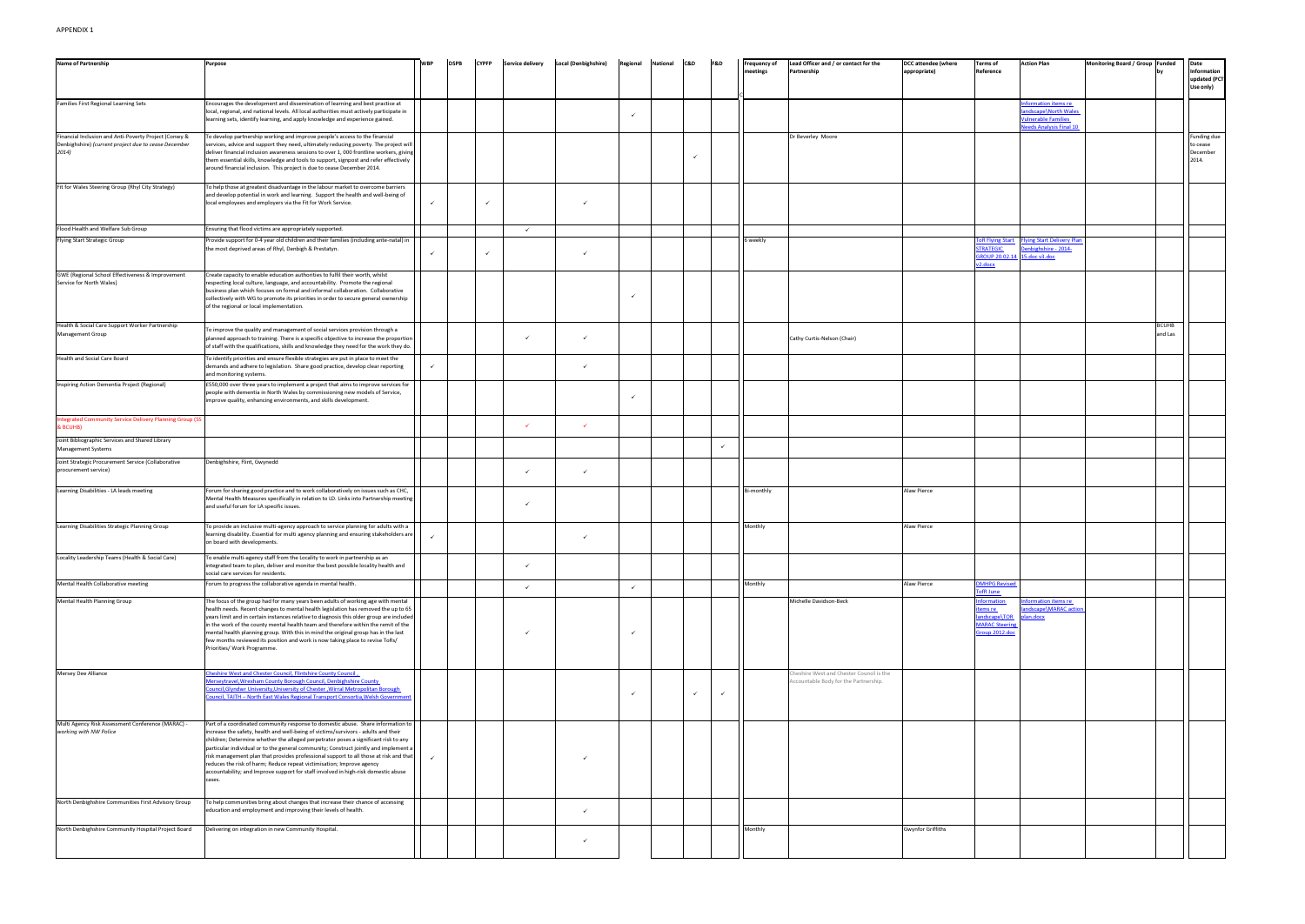| or contact for the                             | <b>DCC</b> attendee (where<br>appropriate) | <b>Terms of</b><br>Reference                                                                       | <b>Action Plan</b>                                          | Monitoring Board / Group Funded | by           | Date<br>Information<br>updated (PCT<br>Use only)    |
|------------------------------------------------|--------------------------------------------|----------------------------------------------------------------------------------------------------|-------------------------------------------------------------|---------------------------------|--------------|-----------------------------------------------------|
|                                                |                                            |                                                                                                    | Information items re<br>landscape\North Wales               |                                 |              |                                                     |
|                                                |                                            |                                                                                                    | <b>Vulnerable Families</b><br>Needs Analysis Final 10       |                                 |              |                                                     |
| e                                              |                                            |                                                                                                    |                                                             |                                 |              | <b>Funding due</b><br>to cease<br>December<br>2014. |
|                                                |                                            |                                                                                                    |                                                             |                                 |              |                                                     |
|                                                |                                            |                                                                                                    |                                                             |                                 |              |                                                     |
|                                                |                                            | <b>ToR Flying Start</b><br><b>STRATEGIC</b><br>GROUP 20.02.14 15.doc v3.doc<br>v <sub>2.docx</sub> | <b>Flying Start Delivery Plan</b><br>Denbighshire - 2014-   |                                 |              |                                                     |
|                                                |                                            |                                                                                                    |                                                             |                                 |              |                                                     |
|                                                |                                            |                                                                                                    |                                                             |                                 | <b>BCUHB</b> |                                                     |
| n (Chair)                                      |                                            |                                                                                                    |                                                             |                                 | and Las      |                                                     |
|                                                |                                            |                                                                                                    |                                                             |                                 |              |                                                     |
|                                                |                                            |                                                                                                    |                                                             |                                 |              |                                                     |
|                                                |                                            |                                                                                                    |                                                             |                                 |              |                                                     |
|                                                |                                            |                                                                                                    |                                                             |                                 |              |                                                     |
|                                                |                                            |                                                                                                    |                                                             |                                 |              |                                                     |
|                                                | <b>Alaw Pierce</b>                         |                                                                                                    |                                                             |                                 |              |                                                     |
|                                                | <b>Alaw Pierce</b>                         |                                                                                                    |                                                             |                                 |              |                                                     |
|                                                |                                            |                                                                                                    |                                                             |                                 |              |                                                     |
|                                                | <b>Alaw Pierce</b>                         | <b>DMHPG Revised</b><br><b>TofR June</b>                                                           |                                                             |                                 |              |                                                     |
| -Beck                                          |                                            | <b>Information</b><br>items re<br>landscape\TOR<br><b>MARAC Steering</b><br>Group 2012.doc         | Information items re<br>landscape\MARAC action<br>plan.docx |                                 |              |                                                     |
| Chester Council is the<br>for the Partnership. |                                            |                                                                                                    |                                                             |                                 |              |                                                     |
|                                                |                                            |                                                                                                    |                                                             |                                 |              |                                                     |
|                                                |                                            |                                                                                                    |                                                             |                                 |              |                                                     |
|                                                |                                            |                                                                                                    |                                                             |                                 |              |                                                     |
|                                                |                                            |                                                                                                    |                                                             |                                 |              |                                                     |
|                                                |                                            |                                                                                                    |                                                             |                                 |              |                                                     |
|                                                | <b>Gwynfor Griffiths</b>                   |                                                                                                    |                                                             |                                 |              |                                                     |

| <b>Name of Partnership</b>                                                                                             | Purpose                                                                                                                                                                                                                                                                                                                                                                                                                                                                                                                                                                                                                 | <b>WBP</b>   | <b>DSPB</b> | <b>CYPFP</b> | <b>Service delivery</b> | <b>Local (Denbighshire)</b> | Regional     | <b>National</b> | C&D          | F&D          | <b>Frequency of</b><br>meetings | Lead Officer and / or contact for the<br>Partnership                              | <b>DCC attendee (where</b><br>appropriate) | Terms of<br>Reference                                                                | <b>Action Pl</b>                                                   |
|------------------------------------------------------------------------------------------------------------------------|-------------------------------------------------------------------------------------------------------------------------------------------------------------------------------------------------------------------------------------------------------------------------------------------------------------------------------------------------------------------------------------------------------------------------------------------------------------------------------------------------------------------------------------------------------------------------------------------------------------------------|--------------|-------------|--------------|-------------------------|-----------------------------|--------------|-----------------|--------------|--------------|---------------------------------|-----------------------------------------------------------------------------------|--------------------------------------------|--------------------------------------------------------------------------------------|--------------------------------------------------------------------|
| <b>Families First Regional Learning Sets</b>                                                                           | Encourages the development and dissemination of learning and best practice at<br>ocal, regional, and national levels. All local authorities must actively participate in<br>learning sets, identify learning, and apply knowledge and experience gained.                                                                                                                                                                                                                                                                                                                                                                |              |             |              |                         |                             | $\checkmark$ |                 |              |              |                                 |                                                                                   |                                            |                                                                                      | <b>Informati</b><br>andscape<br><b>Julnerab</b><br><u>leeds Ar</u> |
| Financial Inclusion and Anti-Poverty Project (Conwy &<br>Denbighshire) (current project due to cease December<br>2014) | To develop partnership working and improve people's access to the financial<br>services, advice and support they need, ultimately reducing poverty. The project will<br>deliver financial inclusion awareness sessions to over 1,000 frontline workers, giving<br>them essential skills, knowledge and tools to support, signpost and refer effectively<br>around financial inclusion. This project is due to cease December 2014.                                                                                                                                                                                      |              |             |              |                         |                             |              |                 | ✓            |              |                                 | Dr Beverley Moore                                                                 |                                            |                                                                                      |                                                                    |
| Fit for Wales Steering Group (Rhyl City Strategy)                                                                      | To help those at greatest disadvantage in the labour market to overcome barriers<br>and develop potential in work and learning. Support the health and well-being of<br>local employees and employers via the Fit for Work Service.                                                                                                                                                                                                                                                                                                                                                                                     | $\checkmark$ |             | $\checkmark$ |                         | $\checkmark$                |              |                 |              |              |                                 |                                                                                   |                                            |                                                                                      |                                                                    |
| Flood Health and Welfare Sub Group                                                                                     | Ensuring that flood victims are appropriately supported.                                                                                                                                                                                                                                                                                                                                                                                                                                                                                                                                                                |              |             |              | $\checkmark$            |                             |              |                 |              |              |                                 |                                                                                   |                                            |                                                                                      |                                                                    |
| Flying Start Strategic Group                                                                                           | Provide support for 0-4 year old children and their families (including ante-natal) in<br>the most deprived areas of Rhyl, Denbigh & Prestatyn.                                                                                                                                                                                                                                                                                                                                                                                                                                                                         |              |             | $\checkmark$ |                         | $\checkmark$                |              |                 |              |              | 6 weekly                        |                                                                                   |                                            | R Flying Start<br><b>TRATEGIC</b><br>SROUP 20.02.14 15.doc v3<br>v <sub>2.docx</sub> | <b>Flying Sta</b><br>enbighs                                       |
| GWE (Regional School Effectiveness & Improvement<br>Service for North Wales)                                           | Create capacity to enable education authorities to fulfil their worth, whilst<br>respecting local culture, language, and accountability. Promote the regional<br>business plan which focuses on formal and informal collaboration. Collaborative<br>collectively with WG to promote its priorities in order to secure general ownership<br>of the regional or local implementation.                                                                                                                                                                                                                                     |              |             |              |                         |                             | $\checkmark$ |                 |              |              |                                 |                                                                                   |                                            |                                                                                      |                                                                    |
| Health & Social Care Support Worker Partnership<br>Management Group                                                    | To improve the quality and management of social services provision through a<br>planned approach to training. There is a specific objective to increase the proportion<br>of staff with the qualifications, skills and knowledge they need for the work they do.                                                                                                                                                                                                                                                                                                                                                        |              |             |              | $\checkmark$            | $\checkmark$                |              |                 |              |              |                                 | Cathy Curtis-Nelson (Chair)                                                       |                                            |                                                                                      |                                                                    |
| Health and Social Care Board                                                                                           | To identify priorities and ensure flexible strategies are put in place to meet the<br>demands and adhere to legislation. Share good practice, develop clear reporting<br>and monitoring systems.                                                                                                                                                                                                                                                                                                                                                                                                                        | $\checkmark$ |             |              |                         | $\checkmark$                |              |                 |              |              |                                 |                                                                                   |                                            |                                                                                      |                                                                    |
| Inspiring Action Dementia Project (Regional)                                                                           | £550,000 over three years to implement a project that aims to improve services for<br>people with dementia in North Wales by commissioning new models of Service,<br>improve quality, enhancing environments, and skills development.                                                                                                                                                                                                                                                                                                                                                                                   |              |             |              |                         |                             | $\checkmark$ |                 |              |              |                                 |                                                                                   |                                            |                                                                                      |                                                                    |
| Integrated Community Service Delivery Planning Group (SS<br><b>BCUHB)</b>                                              |                                                                                                                                                                                                                                                                                                                                                                                                                                                                                                                                                                                                                         |              |             |              | $\checkmark$            | $\checkmark$                |              |                 |              |              |                                 |                                                                                   |                                            |                                                                                      |                                                                    |
| Joint Bibliographic Services and Shared Library<br><b>Management Systems</b>                                           |                                                                                                                                                                                                                                                                                                                                                                                                                                                                                                                                                                                                                         |              |             |              |                         |                             |              |                 |              | $\checkmark$ |                                 |                                                                                   |                                            |                                                                                      |                                                                    |
| Joint Strategic Procurement Service (Collaborative<br>procurement service)                                             | Denbighshire, Flint, Gwynedd                                                                                                                                                                                                                                                                                                                                                                                                                                                                                                                                                                                            |              |             |              | $\checkmark$            | $\checkmark$                |              |                 |              |              |                                 |                                                                                   |                                            |                                                                                      |                                                                    |
| Learning Disabilities - LA leads meeting                                                                               | Forum for sharing good practice and to work collaboratively on issues such as CHC,<br>Mental Health Measures specifically in relation to LD. Links into Partnership meeting<br>and useful forum for LA specific issues.                                                                                                                                                                                                                                                                                                                                                                                                 |              |             |              | $\checkmark$            |                             |              |                 |              |              | Bi-monthly                      |                                                                                   | Alaw Pierce                                |                                                                                      |                                                                    |
| Learning Disabilities Strategic Planning Group                                                                         | To provide an inclusive multi-agency approach to service planning for adults with a<br>learning disability. Essential for multi agency planning and ensuring stakeholders are<br>on board with developments.                                                                                                                                                                                                                                                                                                                                                                                                            | $\checkmark$ |             |              |                         | $\checkmark$                |              |                 |              |              | Monthly                         |                                                                                   | Alaw Pierce                                |                                                                                      |                                                                    |
| Locality Leadership Teams (Health & Social Care)                                                                       | To enable multi-agency staff from the Locality to work in partnership as an<br>ntegrated team to plan, deliver and monitor the best possible locality health and<br>social care services for residents.                                                                                                                                                                                                                                                                                                                                                                                                                 |              |             |              | $\checkmark$            |                             |              |                 |              |              |                                 |                                                                                   |                                            |                                                                                      |                                                                    |
| Mental Health Collaborative meeting                                                                                    | Forum to progress the collaborative agenda in mental health.                                                                                                                                                                                                                                                                                                                                                                                                                                                                                                                                                            |              |             |              | $\checkmark$            |                             | $\checkmark$ |                 |              |              | Monthly                         |                                                                                   | Alaw Pierce                                | <b>MHPG Revised</b><br>ofR June                                                      |                                                                    |
| Mental Health Planning Group                                                                                           | The focus of the group had for many years been adults of working age with mental<br>health needs. Recent changes to mental health legislation has removed the up to 65<br>years limit and in certain instances relative to diagnosis this older group are included<br>in the work of the county mental health team and therefore within the remit of the<br>mental health planning group. With this in mind the original group has in the last<br>ew months reviewed its position and work is now taking place to revise ToRs/<br>Priorities/ Work Programme.                                                           |              |             |              |                         |                             | $\checkmark$ |                 |              |              |                                 | Michelle Davidson-Beck                                                            |                                            | formation<br>ems re<br>andscape\TOR<br><b>IARAC</b> Steering<br>Group 2012.doc       | าformati<br>ndscape<br>Jan.doc                                     |
| Mersey Dee Alliance                                                                                                    | heshire West and Chester Council, Flintshire County Council,<br>Aerseytravel, Wrexham County Borough Council, Denbighshire County<br>ouncil, Glyndwr University, University of Chester, Wirral Metropolitan Borough<br>ouncil, TAITH - North East Wales Regional Transport Consortia, Welsh Government                                                                                                                                                                                                                                                                                                                  |              |             |              |                         |                             | $\checkmark$ |                 | $\checkmark$ |              |                                 | Cheshire West and Chester Council is the<br>Accountable Body for the Partnership. |                                            |                                                                                      |                                                                    |
| Multi Agency Risk Assessment Conference (MARAC) -<br>working with NW Police                                            | Part of a coordinated community response to domestic abuse. Share information to<br>increase the safety, health and well-being of victims/survivors - adults and their<br>children; Determine whether the alleged perpetrator poses a significant risk to any<br>particular individual or to the general community; Construct jointly and implement a<br>risk management plan that provides professional support to all those at risk and that<br>reduces the risk of harm; Reduce repeat victimisation; Improve agency<br>accountability; and Improve support for staff involved in high-risk domestic abuse<br>cases. | $\checkmark$ |             |              |                         |                             |              |                 |              |              |                                 |                                                                                   |                                            |                                                                                      |                                                                    |
| North Denbighshire Communities First Advisory Group                                                                    | To help communities bring about changes that increase their chance of accessing<br>education and employment and improving their levels of health.                                                                                                                                                                                                                                                                                                                                                                                                                                                                       |              |             |              |                         | $\checkmark$                |              |                 |              |              |                                 |                                                                                   |                                            |                                                                                      |                                                                    |
| North Denbighshire Community Hospital Project Board                                                                    | Delivering on integration in new Community Hospital.                                                                                                                                                                                                                                                                                                                                                                                                                                                                                                                                                                    |              |             |              |                         | $\checkmark$                |              |                 |              |              | Monthly                         |                                                                                   | <b>Gwynfor Griffiths</b>                   |                                                                                      |                                                                    |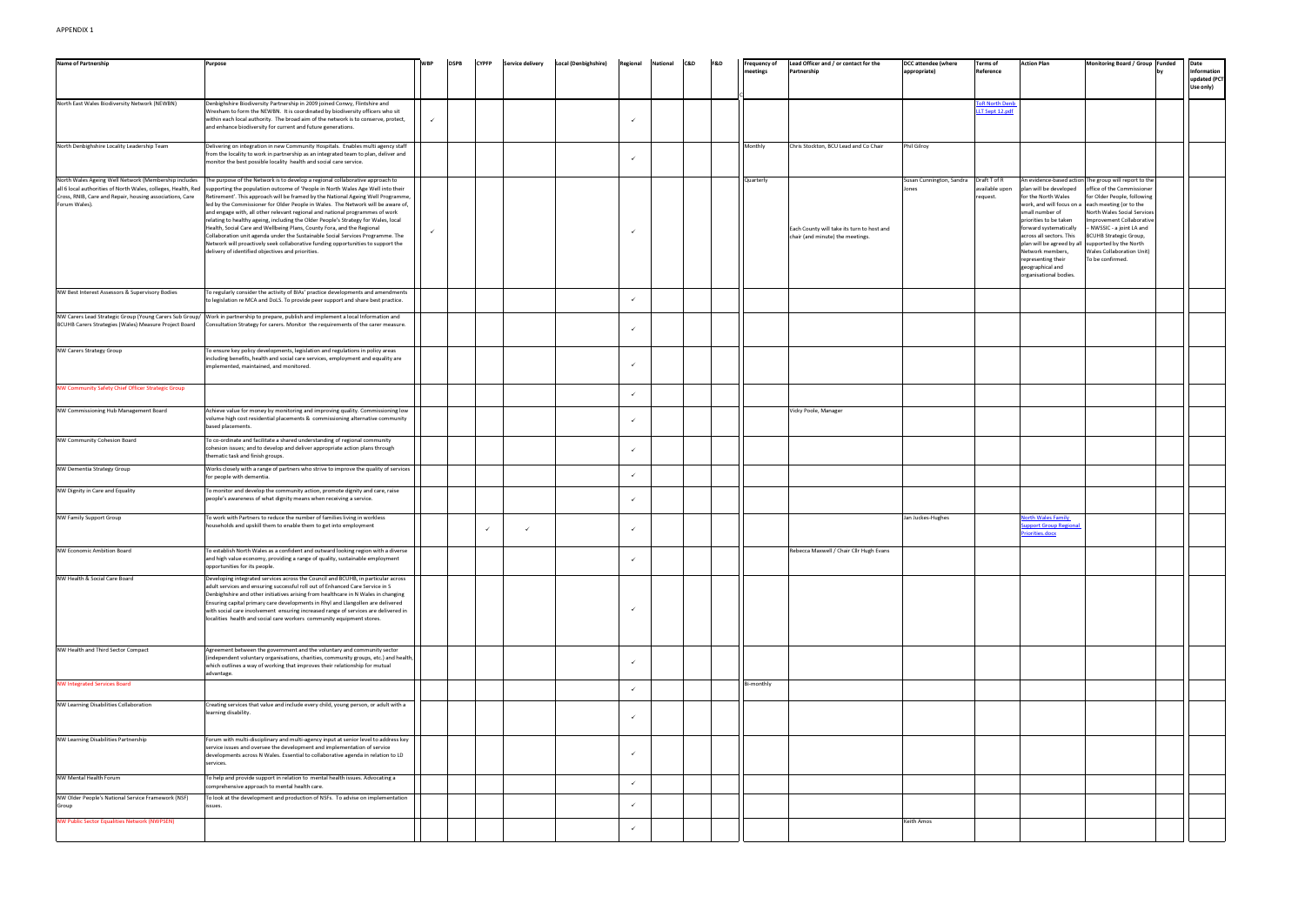| <b>Name of Partnership</b>                                                                                                                                                                         | Purpose                                                                                                                                                                                                                                                                                                                                                                                                                                                                                                                                                                                                                                                                                                                                                                                                             |              | <b>DSPB</b> | <b>CYPFP</b> | <b>Service delivery</b> | <b>Local (Denbighshire)</b> | Regional | <b>National</b> | C&D | <b>F&amp;D</b> | <b>Frequency of</b> | Lead Officer and / or contact for the                                          | <b>DCC attendee (where</b>       | <b>Terms of</b>                            | <b>Action Plan</b>                                                                                                                                                                                                                       | Monitoring Board / Group Funded                                                                                                                                                                                                                                                                                                                                                                                | Date                                     |
|----------------------------------------------------------------------------------------------------------------------------------------------------------------------------------------------------|---------------------------------------------------------------------------------------------------------------------------------------------------------------------------------------------------------------------------------------------------------------------------------------------------------------------------------------------------------------------------------------------------------------------------------------------------------------------------------------------------------------------------------------------------------------------------------------------------------------------------------------------------------------------------------------------------------------------------------------------------------------------------------------------------------------------|--------------|-------------|--------------|-------------------------|-----------------------------|----------|-----------------|-----|----------------|---------------------|--------------------------------------------------------------------------------|----------------------------------|--------------------------------------------|------------------------------------------------------------------------------------------------------------------------------------------------------------------------------------------------------------------------------------------|----------------------------------------------------------------------------------------------------------------------------------------------------------------------------------------------------------------------------------------------------------------------------------------------------------------------------------------------------------------------------------------------------------------|------------------------------------------|
|                                                                                                                                                                                                    |                                                                                                                                                                                                                                                                                                                                                                                                                                                                                                                                                                                                                                                                                                                                                                                                                     |              |             |              |                         |                             |          |                 |     |                | neetings            | Partnership                                                                    | appropriate)                     | Reference                                  |                                                                                                                                                                                                                                          |                                                                                                                                                                                                                                                                                                                                                                                                                | Information<br>updated (PCT<br>Use only) |
| North East Wales Biodiversity Network (NEWBN)                                                                                                                                                      | Denbighshire Biodiversity Partnership in 2009 joined Conwy, Flintshire and<br>Wrexham to form the NEWBN. It is coordinated by biodiversity officers who sit<br>within each local authority. The broad aim of the network is to conserve, protect,<br>and enhance biodiversity for current and future generations.                                                                                                                                                                                                                                                                                                                                                                                                                                                                                                   |              |             |              |                         |                             |          |                 |     |                |                     |                                                                                |                                  | <b>oR North Den</b><br>LLT Sept 12.pdf     |                                                                                                                                                                                                                                          |                                                                                                                                                                                                                                                                                                                                                                                                                |                                          |
| North Denbighshire Locality Leadership Team                                                                                                                                                        | Delivering on integration in new Community Hospitals. Enables multi agency staff<br>from the locality to work in partnership as an integrated team to plan, deliver and<br>monitor the best possible locality health and social care service.                                                                                                                                                                                                                                                                                                                                                                                                                                                                                                                                                                       |              |             |              |                         |                             |          |                 |     |                | Monthly             | Chris Stockton, BCU Lead and Co Chair                                          | Phil Gilroy                      |                                            |                                                                                                                                                                                                                                          |                                                                                                                                                                                                                                                                                                                                                                                                                |                                          |
| North Wales Ageing Well Network (Membership includes<br>all 6 local authorities of North Wales, colleges, Health, Red<br>Cross, RNIB, Care and Repair, housing associations, Care<br>Forum Wales). | The purpose of the Network is to develop a regional collaborative approach to<br>supporting the population outcome of 'People in North Wales Age Well into their<br>Retirement'. This approach will be framed by the National Ageing Well Programme,<br>led by the Commissioner for Older People in Wales. The Network will be aware of,<br>and engage with, all other relevant regional and national programmes of work<br>relating to healthy ageing, including the Older People's Strategy for Wales, local<br>Health, Social Care and Wellbeing Plans, County Fora, and the Regional<br>Collaboration unit agenda under the Sustainable Social Services Programme. The<br>Network will proactively seek collaborative funding opportunities to support the<br>delivery of identified objectives and priorities. | $\checkmark$ |             |              |                         |                             |          |                 |     |                | Quarterly           | Each County will take its turn to host and<br>chair (and minute) the meetings. | Susan Cunnington, Sandra<br>ones | Draft T of R<br>available upon<br>request. | plan will be developed<br>for the North Wales<br>small number of<br>priorities to be taken<br>forward systematically<br>across all sectors. This<br>Network members,<br>representing their<br>geographical and<br>organisational bodies. | An evidence-based action The group will report to the<br>office of the Commissioner<br>for Older People, following<br>work, and will focus on a each meeting (or to the<br>North Wales Social Services<br>Improvement Collaborative<br>- NWSSIC - a joint LA and<br><b>BCUHB Strategic Group,</b><br>plan will be agreed by all supported by the North<br><b>Wales Collaboration Unit)</b><br>To be confirmed. |                                          |
| NW Best Interest Assessors & Supervisory Bodies                                                                                                                                                    | To regularly consider the activity of BIAs' practice developments and amendments<br>to legislation re MCA and DoLS. To provide peer support and share best practice.                                                                                                                                                                                                                                                                                                                                                                                                                                                                                                                                                                                                                                                |              |             |              |                         |                             |          |                 |     |                |                     |                                                                                |                                  |                                            |                                                                                                                                                                                                                                          |                                                                                                                                                                                                                                                                                                                                                                                                                |                                          |
| NW Carers Lead Strategic Group (Young Carers Sub Group/<br>BCUHB Carers Strategies (Wales) Measure Project Board                                                                                   | Work in partnership to prepare, publish and implement a local Information and<br>Consultation Strategy for carers. Monitor the requirements of the carer measure.                                                                                                                                                                                                                                                                                                                                                                                                                                                                                                                                                                                                                                                   |              |             |              |                         |                             |          |                 |     |                |                     |                                                                                |                                  |                                            |                                                                                                                                                                                                                                          |                                                                                                                                                                                                                                                                                                                                                                                                                |                                          |
| <b>NW Carers Strategy Group</b>                                                                                                                                                                    | Fo ensure key policy developments, legislation and regulations in policy areas<br>including benefits, health and social care services, employment and equality are<br>mplemented, maintained, and monitored.                                                                                                                                                                                                                                                                                                                                                                                                                                                                                                                                                                                                        |              |             |              |                         |                             |          |                 |     |                |                     |                                                                                |                                  |                                            |                                                                                                                                                                                                                                          |                                                                                                                                                                                                                                                                                                                                                                                                                |                                          |
| NW Community Safety Chief Officer Strategic Group                                                                                                                                                  |                                                                                                                                                                                                                                                                                                                                                                                                                                                                                                                                                                                                                                                                                                                                                                                                                     |              |             |              |                         |                             |          |                 |     |                |                     |                                                                                |                                  |                                            |                                                                                                                                                                                                                                          |                                                                                                                                                                                                                                                                                                                                                                                                                |                                          |
| NW Commissioning Hub Management Board                                                                                                                                                              | Achieve value for money by monitoring and improving quality. Commissioning low<br>volume high cost residential placements & commissioning alternative community<br>based placements.                                                                                                                                                                                                                                                                                                                                                                                                                                                                                                                                                                                                                                |              |             |              |                         |                             |          |                 |     |                |                     | Vicky Poole, Manager                                                           |                                  |                                            |                                                                                                                                                                                                                                          |                                                                                                                                                                                                                                                                                                                                                                                                                |                                          |
| NW Community Cohesion Board                                                                                                                                                                        | To co-ordinate and facilitate a shared understanding of regional community<br>cohesion issues; and to develop and deliver appropriate action plans through<br>hematic task and finish groups.                                                                                                                                                                                                                                                                                                                                                                                                                                                                                                                                                                                                                       |              |             |              |                         |                             |          |                 |     |                |                     |                                                                                |                                  |                                            |                                                                                                                                                                                                                                          |                                                                                                                                                                                                                                                                                                                                                                                                                |                                          |
| NW Dementia Strategy Group                                                                                                                                                                         | Works closely with a range of partners who strive to improve the quality of services<br>for people with dementia.                                                                                                                                                                                                                                                                                                                                                                                                                                                                                                                                                                                                                                                                                                   |              |             |              |                         |                             |          |                 |     |                |                     |                                                                                |                                  |                                            |                                                                                                                                                                                                                                          |                                                                                                                                                                                                                                                                                                                                                                                                                |                                          |
| NW Dignity in Care and Equality                                                                                                                                                                    | o monitor and develop the community action, promote dignity and care, raise<br>people's awareness of what dignity means when receiving a service.                                                                                                                                                                                                                                                                                                                                                                                                                                                                                                                                                                                                                                                                   |              |             |              |                         |                             |          |                 |     |                |                     |                                                                                |                                  |                                            |                                                                                                                                                                                                                                          |                                                                                                                                                                                                                                                                                                                                                                                                                |                                          |
| <b>NW Family Support Group</b>                                                                                                                                                                     | To work with Partners to reduce the number of families living in workless<br>households and upskill them to enable them to get into employment                                                                                                                                                                                                                                                                                                                                                                                                                                                                                                                                                                                                                                                                      |              |             | $\checkmark$ | $\checkmark$            |                             |          |                 |     |                |                     |                                                                                | Jan Juckes-Hughes                |                                            | orth Wales Family<br>upport Group Regional<br>Priorities.docx                                                                                                                                                                            |                                                                                                                                                                                                                                                                                                                                                                                                                |                                          |
| <b>NW Economic Ambition Board</b>                                                                                                                                                                  | o establish North Wales as a confident and outward looking region with a diverse<br>and high value economy, providing a range of quality, sustainable employment<br>opportunities for its people.                                                                                                                                                                                                                                                                                                                                                                                                                                                                                                                                                                                                                   |              |             |              |                         |                             |          |                 |     |                |                     | Rebecca Maxwell / Chair Cllr Hugh Evans                                        |                                  |                                            |                                                                                                                                                                                                                                          |                                                                                                                                                                                                                                                                                                                                                                                                                |                                          |
| NW Health & Social Care Board                                                                                                                                                                      | Developing integrated services across the Council and BCUHB, in particular across<br>adult services and ensuring successful roll out of Enhanced Care Service in S<br>Denbighshire and other initiatives arising from healthcare in N Wales in changing<br>Ensuring capital primary care developments in Rhyl and Llangollen are delivered<br>with social care involvement ensuring increased range of services are delivered in<br>localities health and social care workers community equipment stores.                                                                                                                                                                                                                                                                                                           |              |             |              |                         |                             |          |                 |     |                |                     |                                                                                |                                  |                                            |                                                                                                                                                                                                                                          |                                                                                                                                                                                                                                                                                                                                                                                                                |                                          |
| NW Health and Third Sector Compact                                                                                                                                                                 | Agreement between the government and the voluntary and community sector<br>(independent voluntary organisations, charities, community groups, etc.) and health,<br>which outlines a way of working that improves their relationship for mutual<br>advantage.                                                                                                                                                                                                                                                                                                                                                                                                                                                                                                                                                        |              |             |              |                         |                             |          |                 |     |                |                     |                                                                                |                                  |                                            |                                                                                                                                                                                                                                          |                                                                                                                                                                                                                                                                                                                                                                                                                |                                          |
| <b>NW Integrated Services Board</b>                                                                                                                                                                |                                                                                                                                                                                                                                                                                                                                                                                                                                                                                                                                                                                                                                                                                                                                                                                                                     |              |             |              |                         |                             |          |                 |     |                | Bi-monthly          |                                                                                |                                  |                                            |                                                                                                                                                                                                                                          |                                                                                                                                                                                                                                                                                                                                                                                                                |                                          |
| NW Learning Disabilities Collaboration                                                                                                                                                             | Creating services that value and include every child, young person, or adult with a<br>learning disability.                                                                                                                                                                                                                                                                                                                                                                                                                                                                                                                                                                                                                                                                                                         |              |             |              |                         |                             |          |                 |     |                |                     |                                                                                |                                  |                                            |                                                                                                                                                                                                                                          |                                                                                                                                                                                                                                                                                                                                                                                                                |                                          |
| NW Learning Disabilities Partnership                                                                                                                                                               | Forum with multi-disciplinary and multi-agency input at senior level to address key<br>service issues and oversee the development and implementation of service<br>developments across N Wales. Essential to collaborative agenda in relation to LD<br>services.                                                                                                                                                                                                                                                                                                                                                                                                                                                                                                                                                    |              |             |              |                         |                             |          |                 |     |                |                     |                                                                                |                                  |                                            |                                                                                                                                                                                                                                          |                                                                                                                                                                                                                                                                                                                                                                                                                |                                          |
| NW Mental Health Forum                                                                                                                                                                             | To help and provide support in relation to mental health issues. Advocating a<br>comprehensive approach to mental health care.                                                                                                                                                                                                                                                                                                                                                                                                                                                                                                                                                                                                                                                                                      |              |             |              |                         |                             |          |                 |     |                |                     |                                                                                |                                  |                                            |                                                                                                                                                                                                                                          |                                                                                                                                                                                                                                                                                                                                                                                                                |                                          |
| NW Older People's National Service Framework (NSF)<br>Group                                                                                                                                        | To look at the development and production of NSFs. To advise on implementation<br>ssues.                                                                                                                                                                                                                                                                                                                                                                                                                                                                                                                                                                                                                                                                                                                            |              |             |              |                         |                             |          |                 |     |                |                     |                                                                                |                                  |                                            |                                                                                                                                                                                                                                          |                                                                                                                                                                                                                                                                                                                                                                                                                |                                          |
| <b>NW Public Sector Equalities Network (NWPSEN)</b>                                                                                                                                                |                                                                                                                                                                                                                                                                                                                                                                                                                                                                                                                                                                                                                                                                                                                                                                                                                     |              |             |              |                         |                             |          |                 |     |                |                     |                                                                                | Keith Amos                       |                                            |                                                                                                                                                                                                                                          |                                                                                                                                                                                                                                                                                                                                                                                                                |                                          |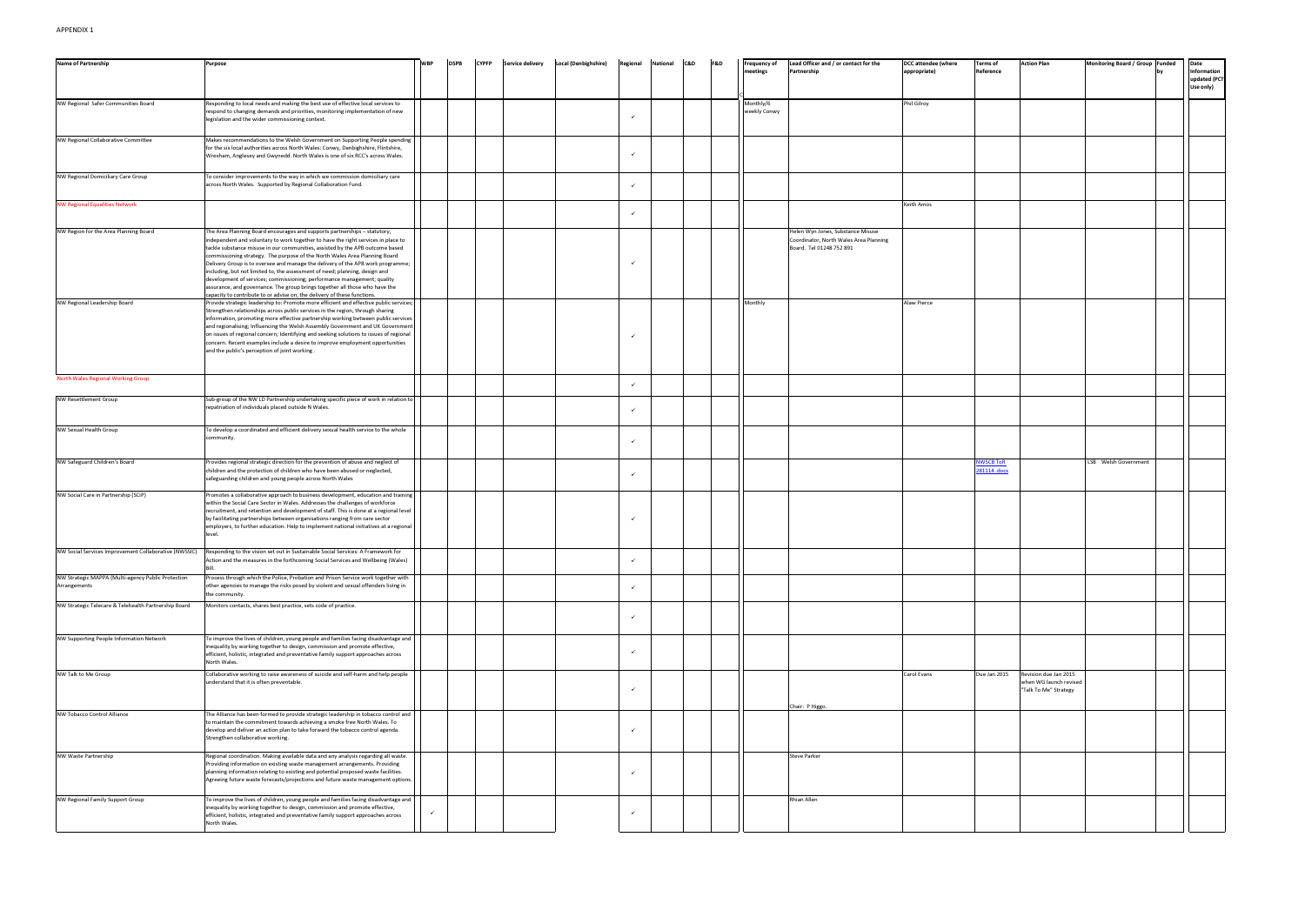| <b>Name of Partnership</b>                                         | <b>Purpose</b>                                                                                                                                                                                                                                                                                                                                                                                                                                                                                                                                                                                                                                                                                                                       | <b>DSPB</b> | <b>CYPFP</b> | <b>Service delivery</b><br><b>Local (Denbighshire)</b> | C&D<br>Regional<br>National | <b>F&amp;D</b> | <b>Frequency of</b>       | Lead Officer and / or contact for the                                                                   | <b>DCC attendee (where</b> | <b>Terms of</b>                 | <b>Action Plan</b>                                                       | Monitoring Board / Group Funded | Date                                     |
|--------------------------------------------------------------------|--------------------------------------------------------------------------------------------------------------------------------------------------------------------------------------------------------------------------------------------------------------------------------------------------------------------------------------------------------------------------------------------------------------------------------------------------------------------------------------------------------------------------------------------------------------------------------------------------------------------------------------------------------------------------------------------------------------------------------------|-------------|--------------|--------------------------------------------------------|-----------------------------|----------------|---------------------------|---------------------------------------------------------------------------------------------------------|----------------------------|---------------------------------|--------------------------------------------------------------------------|---------------------------------|------------------------------------------|
|                                                                    |                                                                                                                                                                                                                                                                                                                                                                                                                                                                                                                                                                                                                                                                                                                                      |             |              |                                                        |                             |                | neetings                  | Partnership                                                                                             | appropriate)               | Reference                       |                                                                          |                                 | Information<br>updated (PCT<br>Use only) |
| NW Regional Safer Communities Board                                | Responding to local needs and making the best use of effective local services to<br>espond to changing demands and priorities, monitoring implementation of new<br>legislation and the wider commissioning context.                                                                                                                                                                                                                                                                                                                                                                                                                                                                                                                  |             |              |                                                        |                             |                | Monthly/6<br>weekly Conwy |                                                                                                         | Phil Gilroy                |                                 |                                                                          |                                 |                                          |
| NW Regional Collaborative Committee                                | Makes recommendations to the Welsh Government on Supporting People spending<br>for the six local authorities across North Wales: Conwy, Denbighshire, Flintshire,<br>Wrexham, Anglesey and Gwynedd. North Wales is one of six RCC's across Wales.                                                                                                                                                                                                                                                                                                                                                                                                                                                                                    |             |              |                                                        |                             |                |                           |                                                                                                         |                            |                                 |                                                                          |                                 |                                          |
| NW Regional Domiciliary Care Group                                 | To consider improvements to the way in which we commission domiciliary care<br>across North Wales. Supported by Regional Collaboration Fund.                                                                                                                                                                                                                                                                                                                                                                                                                                                                                                                                                                                         |             |              |                                                        | $\checkmark$                |                |                           |                                                                                                         |                            |                                 |                                                                          |                                 |                                          |
| <b>NW Regional Equalities Network</b>                              |                                                                                                                                                                                                                                                                                                                                                                                                                                                                                                                                                                                                                                                                                                                                      |             |              |                                                        |                             |                |                           |                                                                                                         | Keith Amos                 |                                 |                                                                          |                                 |                                          |
| NW Region for the Area Planning Board                              | The Area Planning Board encourages and supports partnerships - statutory,<br>independent and voluntary to work together to have the right services in place to<br>tackle substance misuse in our communities, assisted by the APB outcome based<br>commissioning strategy. The purpose of the North Wales Area Planning Board<br>Delivery Group is to oversee and manage the delivery of the APB work programme;<br>including, but not limited to, the assessment of need; planning, design and<br>development of services; commissioning; performance management; quality<br>assurance, and governance. The group brings together all those who have the<br>apacity to contribute to or advise on, the delivery of these functions. |             |              |                                                        |                             |                |                           | Helen Wyn Jones, Substance Misuse<br>Coordinator, North Wales Area Planning<br>Board. Tel 01248 752 891 |                            |                                 |                                                                          |                                 |                                          |
| <b>NW Regional Leadership Board</b>                                | Provide strategic leadership to: Promote more efficient and effective public services;<br>Strengthen relationships across public services in the region, through sharing<br>information, promoting more effective partnership working between public services<br>and regionalising; Influencing the Welsh Assembly Government and UK Government<br>on issues of regional concern; Identifying and seeking solutions to issues of regional<br>concern. Recent examples include a desire to improve employment opportunities<br>and the public's perception of joint working.                                                                                                                                                          |             |              |                                                        |                             |                | Monthly                   |                                                                                                         | Alaw Pierce                |                                 |                                                                          |                                 |                                          |
| North Wales Regional Working Group                                 |                                                                                                                                                                                                                                                                                                                                                                                                                                                                                                                                                                                                                                                                                                                                      |             |              |                                                        | $\checkmark$                |                |                           |                                                                                                         |                            |                                 |                                                                          |                                 |                                          |
| <b>NW Resettlement Group</b>                                       | Sub-group of the NW LD Partnership undertaking specific piece of work in relation to<br>repatriation of individuals placed outside N Wales.                                                                                                                                                                                                                                                                                                                                                                                                                                                                                                                                                                                          |             |              |                                                        | $\checkmark$                |                |                           |                                                                                                         |                            |                                 |                                                                          |                                 |                                          |
| NW Sexual Health Group                                             | To develop a coordinated and efficient delivery sexual health service to the whole<br>community.                                                                                                                                                                                                                                                                                                                                                                                                                                                                                                                                                                                                                                     |             |              |                                                        | $\checkmark$                |                |                           |                                                                                                         |                            |                                 |                                                                          |                                 |                                          |
| NW Safeguard Children's Board                                      | Provides regional strategic direction for the prevention of abuse and neglect of<br>children and the protection of children who have been abused or neglected,<br>safeguarding children and young people across North Wales                                                                                                                                                                                                                                                                                                                                                                                                                                                                                                          |             |              |                                                        |                             |                |                           |                                                                                                         |                            | <b>NWSCB ToR</b><br>281114.docx |                                                                          | LSB Welsh Government            |                                          |
| NW Social Care in Partnership (SCiP)                               | Promotes a collaborative approach to business development, education and training<br>within the Social Care Sector in Wales. Addresses the challenges of workforce<br>recruitment, and retention and development of staff. This is done at a regional level<br>by facilitating partnerships between organisations ranging from care sector<br>employers, to further education. Help to implement national initiatives at a regional<br>level                                                                                                                                                                                                                                                                                         |             |              |                                                        |                             |                |                           |                                                                                                         |                            |                                 |                                                                          |                                 |                                          |
| NW Social Services Improvement Collaborative (NWSSIC)              | Responding to the vision set out in Sustainable Social Services: A Framework for<br>Action and the measures in the forthcoming Social Services and Wellbeing (Wales)                                                                                                                                                                                                                                                                                                                                                                                                                                                                                                                                                                 |             |              |                                                        | $\checkmark$                |                |                           |                                                                                                         |                            |                                 |                                                                          |                                 |                                          |
| NW Strategic MAPPA (Multi-agency Public Protection<br>Arrangements | Process through which the Police, Probation and Prison Service work together with<br>other agencies to manage the risks posed by violent and sexual offenders living in<br>the community.                                                                                                                                                                                                                                                                                                                                                                                                                                                                                                                                            |             |              |                                                        | $\checkmark$                |                |                           |                                                                                                         |                            |                                 |                                                                          |                                 |                                          |
| NW Strategic Telecare & Telehealth Partnership Board               | Monitors contacts, shares best practice, sets code of practice.                                                                                                                                                                                                                                                                                                                                                                                                                                                                                                                                                                                                                                                                      |             |              |                                                        |                             |                |                           |                                                                                                         |                            |                                 |                                                                          |                                 |                                          |
| NW Supporting People Information Network                           | To improve the lives of children, young people and families facing disadvantage and<br>inequality by working together to design, commission and promote effective,<br>efficient, holistic, integrated and preventative family support approaches across<br>North Wales.                                                                                                                                                                                                                                                                                                                                                                                                                                                              |             |              |                                                        |                             |                |                           |                                                                                                         |                            |                                 |                                                                          |                                 |                                          |
| NW Talk to Me Group                                                | Collaborative working to raise awareness of suicide and self-harm and help people<br>understand that it is often preventable.                                                                                                                                                                                                                                                                                                                                                                                                                                                                                                                                                                                                        |             |              |                                                        | $\checkmark$                |                |                           |                                                                                                         | Carol Evans                | Due Jan 2015                    | Revision due Jan 2015<br>when WG launch revised<br>"Talk To Me" Strategy |                                 |                                          |
| NW Tobacco Control Alliance                                        | The Alliance has been formed to provide strategic leadership in tobacco control and<br>to maintain the commitment towards achieving a smoke free North Wales. To<br>develop and deliver an action plan to take forward the tobacco control agenda.<br>Strengthen collaborative working.                                                                                                                                                                                                                                                                                                                                                                                                                                              |             |              |                                                        |                             |                |                           | Chair: P Higgo.                                                                                         |                            |                                 |                                                                          |                                 |                                          |
| <b>NW Waste Partnership</b>                                        | Regional coordination. Making available data and any analysis regarding all waste.<br>Providing information on existing waste management arrangements. Providing<br>planning information relating to existing and potential proposed waste facilities.<br>Agreeing future waste forecasts/projections and future waste management options.                                                                                                                                                                                                                                                                                                                                                                                           |             |              |                                                        |                             |                |                           | Steve Parker                                                                                            |                            |                                 |                                                                          |                                 |                                          |
| NW Regional Family Support Group                                   | To improve the lives of children, young people and families facing disadvantage and<br>inequality by working together to design, commission and promote effective,<br>efficient, holistic, integrated and preventative family support approaches across<br>North Wales.                                                                                                                                                                                                                                                                                                                                                                                                                                                              |             |              |                                                        |                             |                |                           | Rhian Allen                                                                                             |                            |                                 |                                                                          |                                 |                                          |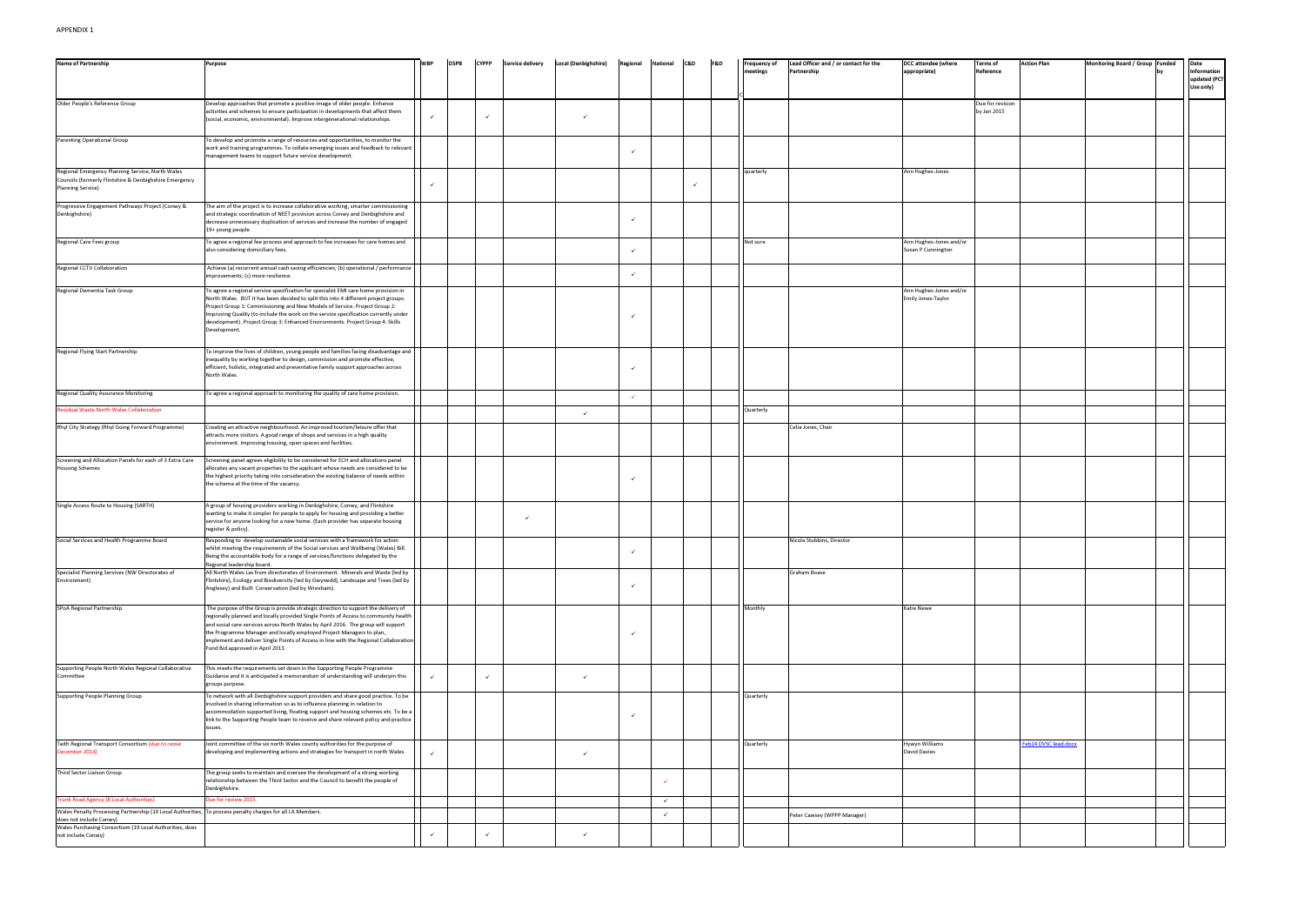| <b>Name of Partnership</b>                                                                                                             | Purpose                                                                                                                                                                                                                                                                                                                                                                                                                                                             | <b>WBP</b>   | <b>DSPB</b> | <b>CYPFP</b> | <b>Service delivery</b> | <b>Local (Denbighshire)</b> | Regional     | National     | C&D          | F&D | <b>Frequency of</b> | Lead Officer and / or contact for the | <b>DCC attendee (where</b>                    | <b>Terms of</b>                 | <b>Action Plan</b>   | Monitoring Board / Group Funded | Date                                     |
|----------------------------------------------------------------------------------------------------------------------------------------|---------------------------------------------------------------------------------------------------------------------------------------------------------------------------------------------------------------------------------------------------------------------------------------------------------------------------------------------------------------------------------------------------------------------------------------------------------------------|--------------|-------------|--------------|-------------------------|-----------------------------|--------------|--------------|--------------|-----|---------------------|---------------------------------------|-----------------------------------------------|---------------------------------|----------------------|---------------------------------|------------------------------------------|
|                                                                                                                                        |                                                                                                                                                                                                                                                                                                                                                                                                                                                                     |              |             |              |                         |                             |              |              |              |     | neetings            | Partnership                           | appropriate)                                  | Reference                       |                      |                                 | Information<br>updated (PCT<br>Use only) |
| Older People's Reference Group                                                                                                         | Develop approaches that promote a positive image of older people. Enhance<br>activities and schemes to ensure participation in developments that affect them<br>(social, economic, environmental). Improve intergenerational relationships.                                                                                                                                                                                                                         | ✓            |             | $\checkmark$ |                         | ✓                           |              |              |              |     |                     |                                       |                                               | Due for revision<br>by Jan 2015 |                      |                                 |                                          |
| <b>Parenting Operational Group</b>                                                                                                     | To develop and promote a range of resources and opportunities, to monitor the<br>work and training programmes. To collate emerging issues and feedback to relevant<br>management teams to support future service development.                                                                                                                                                                                                                                       |              |             |              |                         |                             |              |              |              |     |                     |                                       |                                               |                                 |                      |                                 |                                          |
| Regional Emergency Planning Service, North Wales<br>Councils (formerly Flintshire & Denbighshire Emergency<br><b>Planning Service)</b> |                                                                                                                                                                                                                                                                                                                                                                                                                                                                     | $\checkmark$ |             |              |                         |                             |              |              | $\checkmark$ |     | quarterly           |                                       | Ann Hughes-Jones                              |                                 |                      |                                 |                                          |
| Progressive Engagement Pathways Project (Conwy &<br>Denbighshire)                                                                      | The aim of the project is to increase collaborative working, smarter commissioning<br>and strategic coordination of NEET provision across Conwy and Denbighshire and<br>decrease unnecessary duplication of services and increase the number of engaged                                                                                                                                                                                                             |              |             |              |                         |                             |              |              |              |     |                     |                                       |                                               |                                 |                      |                                 |                                          |
| Regional Care Fees group                                                                                                               | 19+ young people.<br>To agree a regional fee process and approach to fee increases for care homes and<br>also considering domiciliary fees.                                                                                                                                                                                                                                                                                                                         |              |             |              |                         |                             | $\checkmark$ |              |              |     | Not sure            |                                       | Ann Hughes-Jones and/or<br>Susan P Cunnington |                                 |                      |                                 |                                          |
| Regional CCTV Collaboration                                                                                                            | Achieve (a) recurrent annual cash saving efficiencies; (b) operational / performance<br>improvements; (c) more resilience.                                                                                                                                                                                                                                                                                                                                          |              |             |              |                         |                             |              |              |              |     |                     |                                       |                                               |                                 |                      |                                 |                                          |
| Regional Dementia Task Group                                                                                                           | To agree a regional service specification for specialist EMI care home provision in<br>North Wales. BUT it has been decided to split this into 4 different project groups:<br>Project Group 1: Commissioning and New Models of Service. Project Group 2:<br>Improving Quality (to include the work on the service specification currently under<br>development). Project Group 3: Enhanced Environments. Project Group 4: Skills<br>Development.                    |              |             |              |                         |                             |              |              |              |     |                     |                                       | Ann Hughes-Jones and/or<br>Emily Jones-Taylor |                                 |                      |                                 |                                          |
| Regional Flying Start Partnership                                                                                                      | To improve the lives of children, young people and families facing disadvantage and<br>inequality by working together to design, commission and promote effective,<br>efficient, holistic, integrated and preventative family support approaches across<br>North Wales.                                                                                                                                                                                             |              |             |              |                         |                             |              |              |              |     |                     |                                       |                                               |                                 |                      |                                 |                                          |
| Regional Quality Assurance Monitoring                                                                                                  | To agree a regional approach to monitoring the quality of care home provision.                                                                                                                                                                                                                                                                                                                                                                                      |              |             |              |                         |                             |              |              |              |     |                     |                                       |                                               |                                 |                      |                                 |                                          |
| esidual Waste North Wales Collaboration                                                                                                |                                                                                                                                                                                                                                                                                                                                                                                                                                                                     |              |             |              |                         | $\checkmark$                |              |              |              |     | Quarterly           |                                       |                                               |                                 |                      |                                 |                                          |
| Rhyl City Strategy (Rhyl Going Forward Programme)                                                                                      | Creating an attractive neighbourhood. An improved tourism/leisure offer that<br>attracts more visitors. A good range of shops and services in a high quality<br>environment. Improving housing, open spaces and facilities.                                                                                                                                                                                                                                         |              |             |              |                         |                             |              |              |              |     |                     | Celia Jones, Chair                    |                                               |                                 |                      |                                 |                                          |
| Screening and Allocation Panels for each of 3 Extra Care<br><b>Housing Schemes</b>                                                     | Screening panel agrees eligibility to be considered for ECH and allocations panel<br>allocates any vacant properties to the applicant whose needs are considered to be<br>the highest priority taking into consideration the existing balance of needs within<br>the scheme at the time of the vacancy.                                                                                                                                                             |              |             |              |                         |                             |              |              |              |     |                     |                                       |                                               |                                 |                      |                                 |                                          |
| Single Access Route to Housing (SARTH)                                                                                                 | A group of housing providers working in Denbighshire, Conwy, and Flintshire<br>wanting to make it simpler for people to apply for housing and providing a better<br>service for anyone looking for a new home. (Each provider has separate housing<br>register & policy).                                                                                                                                                                                           |              |             |              | $\checkmark$            |                             |              |              |              |     |                     |                                       |                                               |                                 |                      |                                 |                                          |
| Social Services and Health Programme Board                                                                                             | Responding to develop sustainable social services with a framework for action<br>whilst meeting the requirements of the Social services and Wellbeing (Wales) Bill.<br>Being the accountable body for a range of services/functions delegated by the<br>Regional leadership board.                                                                                                                                                                                  |              |             |              |                         |                             |              |              |              |     |                     | Nicola Stubbins, Director             |                                               |                                 |                      |                                 |                                          |
| Specialist Planning Services (NW Directorates of<br>Environment)                                                                       | All North Wales Las from directorates of Environment. Minerals and Waste (led by<br>Flintshire), Ecology and Biodiversity (led by Gwynedd), Landscape and Trees (led by<br>Anglesey) and Built Conservation (led by Wrexham).                                                                                                                                                                                                                                       |              |             |              |                         |                             | $\checkmark$ |              |              |     |                     | Graham Boase                          |                                               |                                 |                      |                                 |                                          |
| SPoA Regional Partnership                                                                                                              | The purpose of the Group is provide strategic direction to support the delivery of<br>regionally planned and locally provided Single Points of Access to community health<br>and social care services across North Wales by April 2016. The group will support<br>the Programme Manager and locally employed Project Managers to plan,<br>implement and deliver Single Points of Access in line with the Regional Collaboration<br>Fund Bid approved in April 2013. |              |             |              |                         |                             |              |              |              |     | Monthly             |                                       | <b>Katie Newe</b>                             |                                 |                      |                                 |                                          |
| Supporting People North Wales Regional Collaborative<br>Committee                                                                      | This meets the requirements set down in the Supporting People Programme<br>Guidance and it is anticipated a memorandum of understanding will underpin this<br>groups purpose.                                                                                                                                                                                                                                                                                       | $\checkmark$ |             | $\checkmark$ |                         | $\checkmark$                |              |              |              |     |                     |                                       |                                               |                                 |                      |                                 |                                          |
| Supporting People Planning Group                                                                                                       | To network with all Denbighshire support providers and share good practice. To be<br>involved in sharing information so as to influence planning in relation to<br>accommodation supported living, floating support and housing schemes etc. To be a<br>link to the Supporting People team to receive and share relevant policy and practice<br>issues.                                                                                                             |              |             |              |                         |                             | $\checkmark$ |              |              |     | Quarterly           |                                       |                                               |                                 |                      |                                 |                                          |
| Taith Regional Transport Consortium (due to cease<br>December 2014)                                                                    | Joint committee of the six north Wales county authorities for the purpose of<br>developing and implementing actions and strategies for transport in north Wales.                                                                                                                                                                                                                                                                                                    | $\checkmark$ |             |              |                         | $\checkmark$                |              |              |              |     | Quarterly           |                                       | Hywyn Williams<br>David Davies                |                                 | Feb14 DVSC lead.docx |                                 |                                          |
| Third Sector Liaison Group                                                                                                             | The group seeks to maintain and oversee the development of a strong working<br>relationship between the Third Sector and the Council to benefit the people of<br>Denbighshire.                                                                                                                                                                                                                                                                                      |              |             |              |                         |                             |              |              |              |     |                     |                                       |                                               |                                 |                      |                                 |                                          |
| <b>Trunk Road Agency (8 Local Authorities)</b>                                                                                         | Oue for review 2015.                                                                                                                                                                                                                                                                                                                                                                                                                                                |              |             |              |                         |                             |              | $\checkmark$ |              |     |                     |                                       |                                               |                                 |                      |                                 |                                          |
| Wales Penalty Processing Partnership (10 Local Authorities, To process penalty charges for all LA Members.<br>does not include Conwy)  |                                                                                                                                                                                                                                                                                                                                                                                                                                                                     |              |             |              |                         |                             |              | $\checkmark$ |              |     |                     | Peter Cawsey (WPPP Manager)           |                                               |                                 |                      |                                 |                                          |
| Wales Purchasing Consortium (19 Local Authorities, does<br>not include Conwy)                                                          |                                                                                                                                                                                                                                                                                                                                                                                                                                                                     | ✓            |             | $\checkmark$ |                         |                             |              |              |              |     |                     |                                       |                                               |                                 |                      |                                 |                                          |